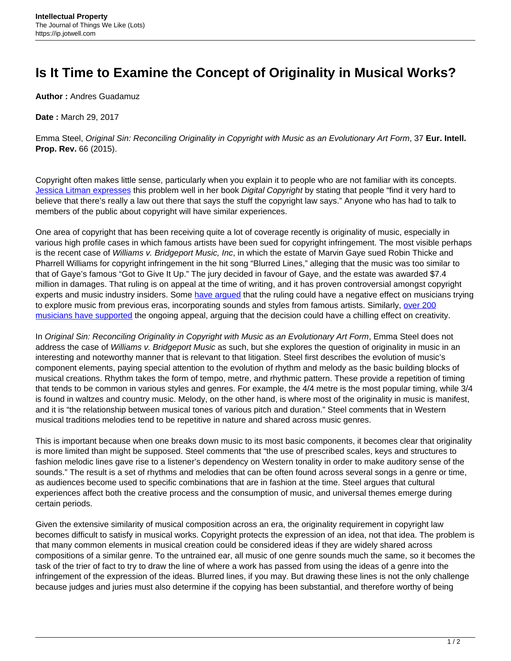## **Is It Time to Examine the Concept of Originality in Musical Works?**

**Author :** Andres Guadamuz

**Date :** March 29, 2017

Emma Steel, Original Sin: Reconciling Originality in Copyright with Music as an Evolutionary Art Form, 37 **Eur. Intell. Prop. Rev.** 66 (2015).

Copyright often makes little sense, particularly when you explain it to people who are not familiar with its concepts. [Jessica Litman expresses](http://repository.law.umich.edu/cgi/viewcontent.cgi?article=1000&context=books) this problem well in her book Digital Copyright by stating that people "find it very hard to believe that there's really a law out there that says the stuff the copyright law says." Anyone who has had to talk to members of the public about copyright will have similar experiences.

One area of copyright that has been receiving quite a lot of coverage recently is originality of music, especially in various high profile cases in which famous artists have been sued for copyright infringement. The most visible perhaps is the recent case of Williams v. Bridgeport Music, Inc, in which the estate of Marvin Gaye sued Robin Thicke and Pharrell Williams for copyright infringement in the hit song "Blurred Lines," alleging that the music was too similar to that of Gaye's famous "Got to Give It Up." The jury decided in favour of Gaye, and the estate was awarded \$7.4 million in damages. That ruling is on appeal at the time of writing, and it has proven controversial amongst copyright experts and music industry insiders. Some [have argued](http://blog.oup.com/2015/03/blurred-lines-copyright-infringement/) that the ruling could have a negative effect on musicians trying to explore music from previous eras, incorporating sounds and styles from famous artists. Similarly, [over 200](http://www.hollywoodreporter.com/thr-esq/blurred-lines-appeal-gets-support-924213) [musicians have supported](http://www.hollywoodreporter.com/thr-esq/blurred-lines-appeal-gets-support-924213) the ongoing appeal, arguing that the decision could have a chilling effect on creativity.

In Original Sin: Reconciling Originality in Copyright with Music as an Evolutionary Art Form, Emma Steel does not address the case of Williams v. Bridgeport Music as such, but she explores the question of originality in music in an interesting and noteworthy manner that is relevant to that litigation. Steel first describes the evolution of music's component elements, paying special attention to the evolution of rhythm and melody as the basic building blocks of musical creations. Rhythm takes the form of tempo, metre, and rhythmic pattern. These provide a repetition of timing that tends to be common in various styles and genres. For example, the 4/4 metre is the most popular timing, while 3/4 is found in waltzes and country music. Melody, on the other hand, is where most of the originality in music is manifest, and it is "the relationship between musical tones of various pitch and duration." Steel comments that in Western musical traditions melodies tend to be repetitive in nature and shared across music genres.

This is important because when one breaks down music to its most basic components, it becomes clear that originality is more limited than might be supposed. Steel comments that "the use of prescribed scales, keys and structures to fashion melodic lines gave rise to a listener's dependency on Western tonality in order to make auditory sense of the sounds." The result is a set of rhythms and melodies that can be often found across several songs in a genre or time, as audiences become used to specific combinations that are in fashion at the time. Steel argues that cultural experiences affect both the creative process and the consumption of music, and universal themes emerge during certain periods.

Given the extensive similarity of musical composition across an era, the originality requirement in copyright law becomes difficult to satisfy in musical works. Copyright protects the expression of an idea, not that idea. The problem is that many common elements in musical creation could be considered ideas if they are widely shared across compositions of a similar genre. To the untrained ear, all music of one genre sounds much the same, so it becomes the task of the trier of fact to try to draw the line of where a work has passed from using the ideas of a genre into the infringement of the expression of the ideas. Blurred lines, if you may. But drawing these lines is not the only challenge because judges and juries must also determine if the copying has been substantial, and therefore worthy of being